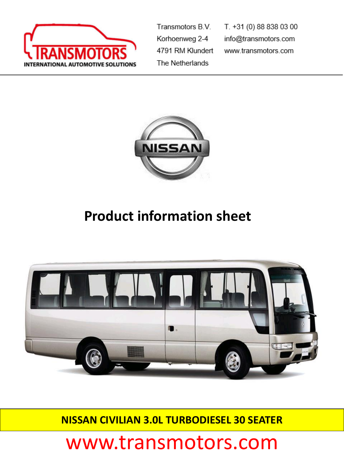

Transmotors B.V. Korhoenweg 2-4 4791 RM Klundert The Netherlands

T. +31 (0) 88 838 03 00 info@transmotors.com www.transmotors.com



## **Product information sheet**



**NISSAN CIVILIAN 3.0L TURBODIESEL 30 SEATER**

## www.transmotors.com